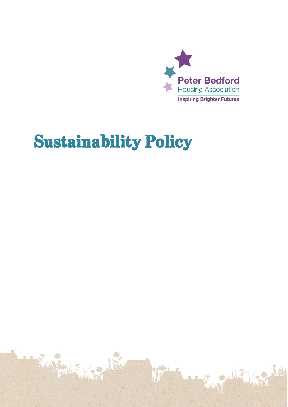

# **Sustainability Policy**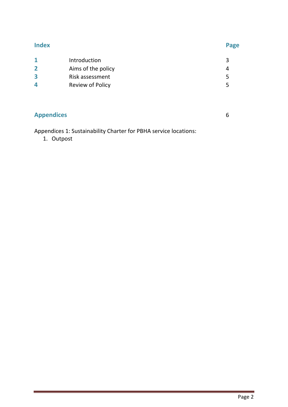### **Index Page**

| Introduction            |    |
|-------------------------|----|
| Aims of the policy      | Δ. |
| Risk assessment         |    |
| <b>Review of Policy</b> |    |
|                         |    |

## **Appendices** 6

Appendices 1: Sustainability Charter for PBHA service locations:

1. Outpost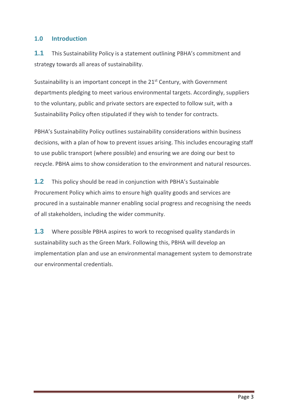### **1.0 Introduction**

**1.1** This Sustainability Policy is a statement outlining PBHA's commitment and strategy towards all areas of sustainability.

Sustainability is an important concept in the 21<sup>st</sup> Century, with Government departments pledging to meet various environmental targets. Accordingly, suppliers to the voluntary, public and private sectors are expected to follow suit, with a Sustainability Policy often stipulated if they wish to tender for contracts.

PBHA's Sustainability Policy outlines sustainability considerations within business decisions, with a plan of how to prevent issues arising. This includes encouraging staff to use public transport (where possible) and ensuring we are doing our best to recycle. PBHA aims to show consideration to the environment and natural resources.

**1.2** This policy should be read in conjunction with PBHA's Sustainable Procurement Policy which aims to ensure high quality goods and services are procured in a sustainable manner enabling social progress and recognising the needs of all stakeholders, including the wider community.

**1.3** Where possible PBHA aspires to work to recognised quality standards in sustainability such as the Green Mark. Following this, PBHA will develop an implementation plan and use an environmental management system to demonstrate our environmental credentials.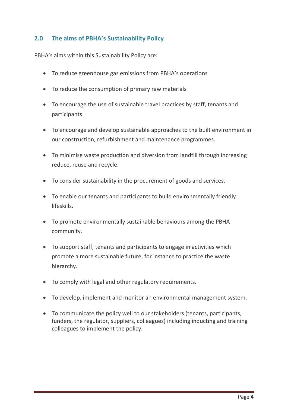### **2.0 The aims of PBHA's Sustainability Policy**

PBHA's aims within this Sustainability Policy are:

- To reduce greenhouse gas emissions from PBHA's operations
- To reduce the consumption of primary raw materials
- To encourage the use of sustainable travel practices by staff, tenants and participants
- To encourage and develop sustainable approaches to the built environment in our construction, refurbishment and maintenance programmes.
- To minimise waste production and diversion from landfill through increasing reduce, reuse and recycle.
- To consider sustainability in the procurement of goods and services.
- To enable our tenants and participants to build environmentally friendly lifeskills.
- To promote environmentally sustainable behaviours among the PBHA community.
- To support staff, tenants and participants to engage in activities which promote a more sustainable future, for instance to practice the waste hierarchy.
- To comply with legal and other regulatory requirements.
- To develop, implement and monitor an environmental management system.
- To communicate the policy well to our stakeholders (tenants, participants, funders, the regulator, suppliers, colleagues) including inducting and training colleagues to implement the policy.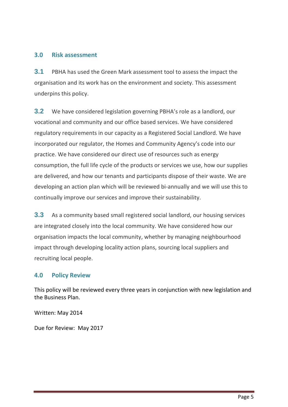### **3.0 Risk assessment**

**3.1** PBHA has used the Green Mark assessment tool to assess the impact the organisation and its work has on the environment and society. This assessment underpins this policy.

**3.2** We have considered legislation governing PBHA's role as a landlord, our vocational and community and our office based services. We have considered regulatory requirements in our capacity as a Registered Social Landlord. We have incorporated our regulator, the Homes and Community Agency's code into our practice. We have considered our direct use of resources such as energy consumption, the full life cycle of the products or services we use, how our supplies are delivered, and how our tenants and participants dispose of their waste. We are developing an action plan which will be reviewed bi-annually and we will use this to continually improve our services and improve their sustainability.

**3.3** As a community based small registered social landlord, our housing services are integrated closely into the local community. We have considered how our organisation impacts the local community, whether by managing neighbourhood impact through developing locality action plans, sourcing local suppliers and recruiting local people.

### **4.0 Policy Review**

This policy will be reviewed every three years in conjunction with new legislation and the Business Plan.

Written: May 2014

Due for Review: May 2017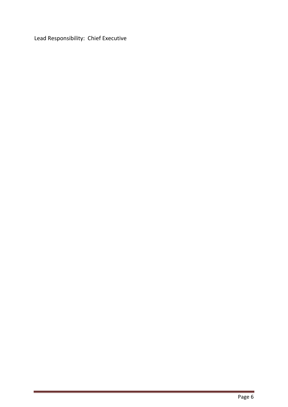Lead Responsibility: Chief Executive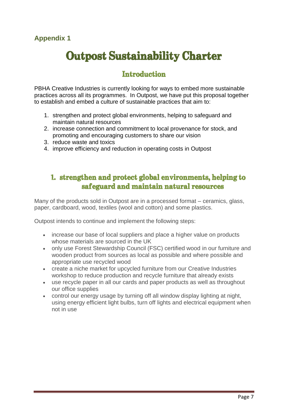## **Appendix 1**

# **Outpost Sustainability Charter**

# **Introduction**

PBHA Creative Industries is currently looking for ways to embed more sustainable practices across all its programmes. In Outpost, we have put this proposal together to establish and embed a culture of sustainable practices that aim to:

- 1. strengthen and protect global environments, helping to safeguard and maintain natural resources
- 2. increase connection and commitment to local provenance for stock, and promoting and encouraging customers to share our vision
- 3. reduce waste and toxics
- 4. improve efficiency and reduction in operating costs in Outpost

# 1. strengthen and protect global environments, helping to safeguard and maintain natural resources

Many of the products sold in Outpost are in a processed format – ceramics, glass, paper, cardboard, wood, textiles (wool and cotton) and some plastics.

Outpost intends to continue and implement the following steps:

- increase our base of local suppliers and place a higher value on products whose materials are sourced in the UK
- only use Forest Stewardship Council (FSC) certified wood in our furniture and wooden product from sources as local as possible and where possible and appropriate use recycled wood
- create a niche market for upcycled furniture from our Creative Industries workshop to reduce production and recycle furniture that already exists
- use recycle paper in all our cards and paper products as well as throughout our office supplies
- control our energy usage by turning off all window display lighting at night, using energy efficient light bulbs, turn off lights and electrical equipment when not in use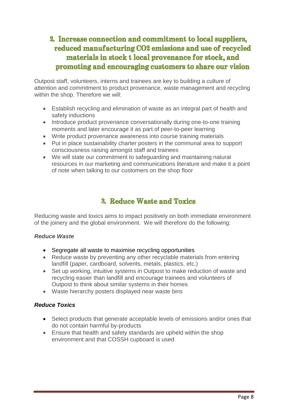# 2. Increase connection and commitment to local suppliers, reduced manufacturing CO2 emissions and use of recycled materials in stock t local provenance for stock, and promoting and encouraging customers to share our vision

Outpost staff, volunteers, interns and trainees are key to building a culture of attention and commitment to product provenance, waste management and recycling within the shop. Therefore we will:

- Establish recycling and elimination of waste as an integral part of health and safety inductions
- Introduce product provenance conversationally during one-to-one training moments and later encourage it as part of peer-to-peer learning
- Write product provenance awareness into course training materials
- Put in place sustainability charter posters in the communal area to support consciousness raising amongst staff and trainees
- We will state our commitment to safeguarding and maintaining natural resources in our marketing and communications literature and make it a point of note when talking to our customers on the shop floor

# 3. Reduce Waste and Toxics

Reducing waste and toxics aims to impact positively on both immediate environment of the joinery and the global environment. We will therefore do the following:

### *Reduce Waste*

- Segregate all waste to maximise recycling opportunities
- Reduce waste by preventing any other recyclable materials from entering landfill (paper, cardboard, solvents, metals, plastics, etc.)
- Set up working, intuitive systems in Outpost to make reduction of waste and recycling easier than landfill and encourage trainees and volunteers of Outpost to think about similar systems in their homes
- Waste hierarchy posters displayed near waste bins

### *Reduce Toxics*

- Select products that generate acceptable levels of emissions and/or ones that do not contain harmful by-products
- Ensure that health and safety standards are upheld within the shop environment and that COSSH cupboard is used